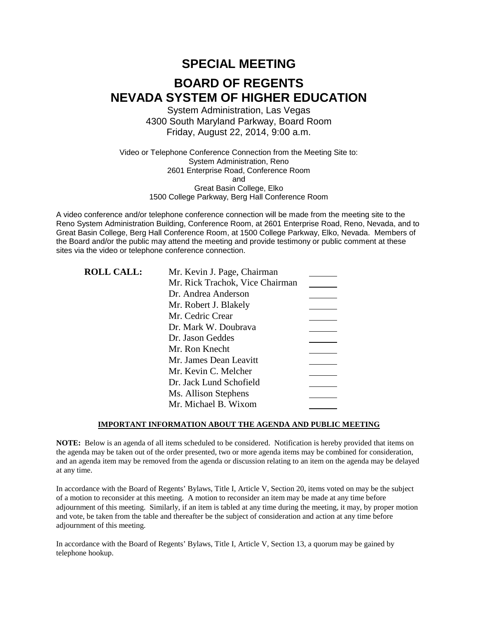# **SPECIAL MEETING BOARD OF REGENTS NEVADA SYSTEM OF HIGHER EDUCATION**

System Administration, Las Vegas 4300 South Maryland Parkway, Board Room Friday, August 22, 2014, 9:00 a.m.

Video or Telephone Conference Connection from the Meeting Site to: System Administration, Reno 2601 Enterprise Road, Conference Room and Great Basin College, Elko 1500 College Parkway, Berg Hall Conference Room

A video conference and/or telephone conference connection will be made from the meeting site to the Reno System Administration Building, Conference Room, at 2601 Enterprise Road, Reno, Nevada, and to Great Basin College, Berg Hall Conference Room, at 1500 College Parkway, Elko, Nevada. Members of the Board and/or the public may attend the meeting and provide testimony or public comment at these sites via the video or telephone conference connection.

| Mr. Kevin J. Page, Chairman     |  |
|---------------------------------|--|
| Mr. Rick Trachok, Vice Chairman |  |
| Dr. Andrea Anderson             |  |
| Mr. Robert J. Blakely           |  |
| Mr. Cedric Crear                |  |
| Dr. Mark W. Doubrava            |  |
| Dr. Jason Geddes                |  |
| Mr. Ron Knecht                  |  |
| Mr. James Dean Leavitt          |  |
| Mr. Kevin C. Melcher            |  |
| Dr. Jack Lund Schofield         |  |
| Ms. Allison Stephens            |  |
| Mr. Michael B. Wixom            |  |
|                                 |  |

### **IMPORTANT INFORMATION ABOUT THE AGENDA AND PUBLIC MEETING**

**NOTE:** Below is an agenda of all items scheduled to be considered. Notification is hereby provided that items on the agenda may be taken out of the order presented, two or more agenda items may be combined for consideration, and an agenda item may be removed from the agenda or discussion relating to an item on the agenda may be delayed at any time.

In accordance with the Board of Regents' Bylaws, Title I, Article V, Section 20, items voted on may be the subject of a motion to reconsider at this meeting. A motion to reconsider an item may be made at any time before adjournment of this meeting. Similarly, if an item is tabled at any time during the meeting, it may, by proper motion and vote, be taken from the table and thereafter be the subject of consideration and action at any time before adjournment of this meeting.

In accordance with the Board of Regents' Bylaws, Title I, Article V, Section 13, a quorum may be gained by telephone hookup.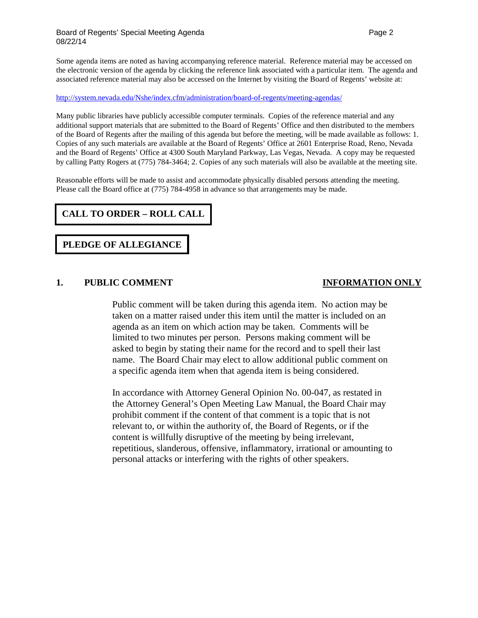### Board of Regents' Special Meeting Agenda Page 2 and 2 08/22/14

Some agenda items are noted as having accompanying reference material. Reference material may be accessed on the electronic version of the agenda by clicking the reference link associated with a particular item. The agenda and associated reference material may also be accessed on the Internet by visiting the Board of Regents' website at:

### <http://system.nevada.edu/Nshe/index.cfm/administration/board-of-regents/meeting-agendas/>

Many public libraries have publicly accessible computer terminals. Copies of the reference material and any additional support materials that are submitted to the Board of Regents' Office and then distributed to the members of the Board of Regents after the mailing of this agenda but before the meeting, will be made available as follows: 1. Copies of any such materials are available at the Board of Regents' Office at 2601 Enterprise Road, Reno, Nevada and the Board of Regents' Office at 4300 South Maryland Parkway, Las Vegas, Nevada. A copy may be requested by calling Patty Rogers at (775) 784-3464; 2. Copies of any such materials will also be available at the meeting site.

Reasonable efforts will be made to assist and accommodate physically disabled persons attending the meeting. Please call the Board office at (775) 784-4958 in advance so that arrangements may be made.

# **CALL TO ORDER – ROLL CALL**

# **PLEDGE OF ALLEGIANCE**

### **1. PUBLIC COMMENT INFORMATION ONLY**

Public comment will be taken during this agenda item. No action may be taken on a matter raised under this item until the matter is included on an agenda as an item on which action may be taken. Comments will be limited to two minutes per person. Persons making comment will be asked to begin by stating their name for the record and to spell their last name. The Board Chair may elect to allow additional public comment on a specific agenda item when that agenda item is being considered.

In accordance with Attorney General Opinion No. 00-047, as restated in the Attorney General's Open Meeting Law Manual, the Board Chair may prohibit comment if the content of that comment is a topic that is not relevant to, or within the authority of, the Board of Regents, or if the content is willfully disruptive of the meeting by being irrelevant, repetitious, slanderous, offensive, inflammatory, irrational or amounting to personal attacks or interfering with the rights of other speakers.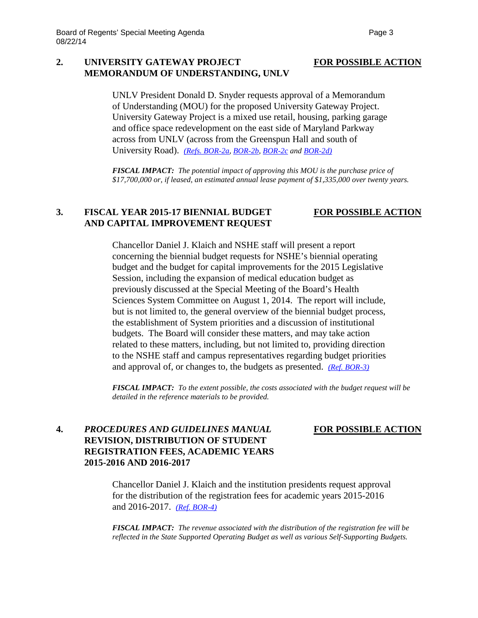### **2. UNIVERSITY GATEWAY PROJECT FOR POSSIBLE ACTION MEMORANDUM OF UNDERSTANDING, UNLV**

UNLV President Donald D. Snyder requests approval of a Memorandum of Understanding (MOU) for the proposed University Gateway Project. University Gateway Project is a mixed use retail, housing, parking garage and office space redevelopment on the east side of Maryland Parkway across from UNLV (across from the Greenspun Hall and south of University Road). *[\(Refs. BOR-2a,](http://system.nevada.edu/tasks/sites/Nshe/assets/File/BoardOfRegents/Agendas/2014/aug-mtgs/bor-aug22-refs/BOR-2a.pdf) [BOR-2b,](http://system.nevada.edu/tasks/sites/Nshe/assets/File/BoardOfRegents/Agendas/2014/aug-mtgs/bor-aug22-refs/BOR-2b.pdf) [BOR-2c](http://system.nevada.edu/tasks/sites/Nshe/assets/File/BoardOfRegents/Agendas/2014/aug-mtgs/bor-aug22-refs/BOR-2c.pdf) and [BOR-2d\)](http://system.nevada.edu/tasks/sites/Nshe/assets/File/BoardOfRegents/Agendas/2014/aug-mtgs/bor-aug22-refs/BOR-2d.pdf)*

*FISCAL IMPACT: The potential impact of approving this MOU is the purchase price of \$17,700,000 or, if leased, an estimated annual lease payment of \$1,335,000 over twenty years.*

### **3. FISCAL YEAR 2015-17 BIENNIAL BUDGET FOR POSSIBLE ACTION AND CAPITAL IMPROVEMENT REQUEST**

Chancellor Daniel J. Klaich and NSHE staff will present a report concerning the biennial budget requests for NSHE's biennial operating budget and the budget for capital improvements for the 2015 Legislative Session, including the expansion of medical education budget as previously discussed at the Special Meeting of the Board's Health Sciences System Committee on August 1, 2014. The report will include, but is not limited to, the general overview of the biennial budget process, the establishment of System priorities and a discussion of institutional budgets. The Board will consider these matters, and may take action related to these matters, including, but not limited to, providing direction to the NSHE staff and campus representatives regarding budget priorities and approval of, or changes to, the budgets as presented. *[\(Ref. BOR-3\)](http://system.nevada.edu/tasks/sites/Nshe/assets/File/BoardOfRegents/Agendas/2014/aug-mtgs/bor-aug22-refs/BOR-3.pdf)*

*FISCAL IMPACT: To the extent possible, the costs associated with the budget request will be detailed in the reference materials to be provided.*

## **4.** *PROCEDURES AND GUIDELINES MANUAL* **FOR POSSIBLE ACTION REVISION, DISTRIBUTION OF STUDENT REGISTRATION FEES, ACADEMIC YEARS 2015-2016 AND 2016-2017**

Chancellor Daniel J. Klaich and the institution presidents request approval for the distribution of the registration fees for academic years 2015-2016 and 2016-2017. *[\(Ref. BOR-4\)](http://system.nevada.edu/tasks/sites/Nshe/assets/File/BoardOfRegents/Agendas/2014/aug-mtgs/bor-aug22-refs/BOR-4.pdf)*

*FISCAL IMPACT: The revenue associated with the distribution of the registration fee will be reflected in the State Supported Operating Budget as well as various Self-Supporting Budgets.*